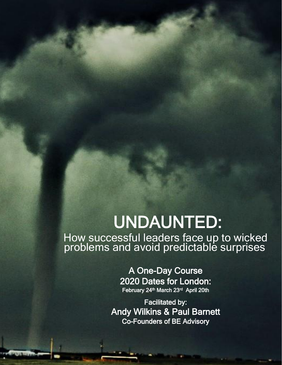# UNDAUNTED:

How successful leaders face up to wicked problems and avoid predictable surprises

> A One-Day Course 2020 Dates for London: February 24<sup>th</sup> March 23<sup>rd</sup> April 20th

Facilitated by: Andy Wilkins & Paul Barnett Co-Founders of BE Advisory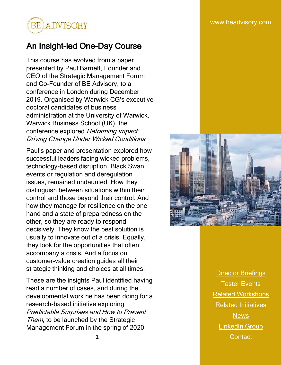

# An Insight-led One-Day Course

This course has evolved from a paper presented by Paul Barnett, Founder and CEO of the Strategic Management Forum and Co-Founder of BE Advisory, to a conference in London during December 2019. Organised by Warwick CG's executive doctoral candidates of business administration at the University of Warwick, Warwick Business School (UK), the conference explored Reframing Impact: Driving Change Under Wicked Conditions.

Paul's paper and presentation explored how successful leaders facing wicked problems, technology-based disruption, Black Swan events or regulation and deregulation issues, remained undaunted. How they distinguish between situations within their control and those beyond their control. And how they manage for resilience on the one hand and a state of preparedness on the other, so they are ready to respond decisively. They know the best solution is usually to innovate out of a crisis. Equally, they look for the opportunities that often accompany a crisis. And a focus on customer-value creation guides all their strategic thinking and choices at all times.

These are the insights Paul identified having read a number of cases, and during the developmental work he has been doing for a research-based initiative exploring Predictable Surprises and How to Prevent Them, to be launched by the Strategic Management Forum in the spring of 2020.



**[Director Briefings](https://www.beadvisory.com/post/undaunted-director-briefings)** [Taster Events](https://www.beadvisory.com/news/categories/undaunted-taster-events) [Related Workshops](https://www.beadvisory.com/post/undaunted-workshops) [Related Initiatives](https://www.beadvisory.com/post/undaunted-course-related-initiatives) **[News](https://www.beadvisory.com/news/categories/undaunted-news)** [LinkedIn Group](https://www.linkedin.com/groups/8638719/) 1 [Contact](mailto:contact@beadvisory.com) Contact Contact Contact Contact Contact Contact Contact Contact Contact Contact Contact Contact Contact Contact Contact Contact Contact Contact Contact Contact Contact Contact Contact Contact Contact Contact Cont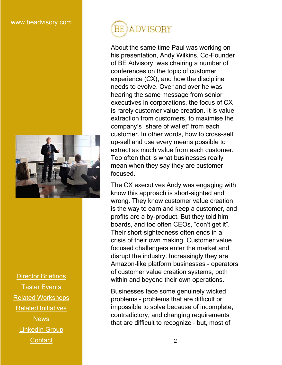

[Director Briefings](https://www.beadvisory.com/post/undaunted-director-briefings) [Taster Events](https://www.beadvisory.com/news/categories/undaunted-taster-events) [Related Workshops](https://www.beadvisory.com/post/undaunted-workshops) [Related Initiatives](https://www.beadvisory.com/post/undaunted-course-related-initiatives) **[News](https://www.beadvisory.com/news/categories/undaunted-news)** [LinkedIn Group](https://www.linkedin.com/groups/8638719/) **[Contact](mailto:contact@beadvisory.com)** 

# **BE ADVISORY**

About the same time Paul was working on his presentation, Andy Wilkins, Co-Founder of BE Advisory, was chairing a number of conferences on the topic of customer experience (CX), and how the discipline needs to evolve. Over and over he was hearing the same message from senior executives in corporations, the focus of CX is rarely customer value creation. It is value extraction from customers, to maximise the company's "share of wallet" from each customer. In other words, how to cross-sell, up-sell and use every means possible to extract as much value from each customer. Too often that is what businesses really mean when they say they are customer focused.

The CX executives Andy was engaging with know this approach is short-sighted and wrong. They know customer value creation is the way to earn and keep a customer, and profits are a by-product. But they told him boards, and too often CEOs, "don't get it". Their short-sightedness often ends in a crisis of their own making. Customer value focused challengers enter the market and disrupt the industry. Increasingly they are Amazon-like platform businesses - operators of customer value creation systems, both within and beyond their own operations.

Businesses face some genuinely wicked problems – problems that are difficult or impossible to solve because of incomplete, contradictory, and changing requirements that are difficult to recognize – but, most of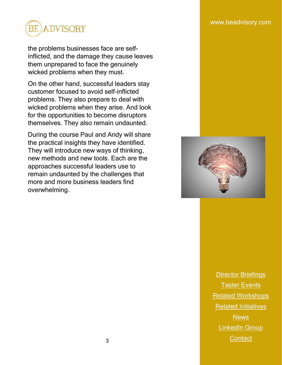

the problems businesses face are selfinflicted, and the damage they cause leaves them unprepared to face the genuinely wicked problems when they must.

On the other hand, successful leaders stay customer focused to avoid self-inflicted problems. They also prepare to deal with wicked problems when they arise. And look for the opportunities to become disruptors themselves. They also remain undaunted.

During the course Paul and Andy will share the practical insights they have identified. They will introduce new ways of thinking, new methods and new tools. Each are the approaches successful leaders use to remain undaunted by the challenges that more and more business leaders find overwhelming.

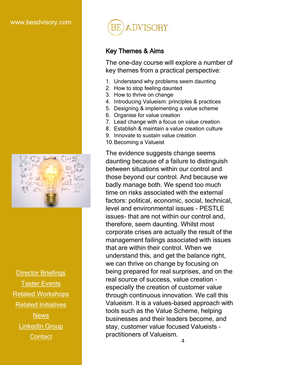

[Director Briefings](https://www.beadvisory.com/post/undaunted-director-briefings) [Taster Events](https://www.beadvisory.com/news/categories/undaunted-taster-events) [Related Workshops](https://www.beadvisory.com/post/undaunted-workshops) [Related Initiatives](https://www.beadvisory.com/post/undaunted-course-related-initiatives) **[News](https://www.beadvisory.com/news/categories/undaunted-news)** [LinkedIn Group](https://www.linkedin.com/groups/8638719/)



# Key Themes & Aims

The one-day course will explore a number of key themes from a practical perspective:

- 1. Understand why problems seem daunting
- 2. How to stop feeling daunted
- 3. How to thrive on change
- 4. Introducing Valueism: principles & practices
- 5. Designing & implementing a value scheme
- 6. Organise for value creation
- 7. Lead change with a focus on value creation
- 8. Establish & maintain a value creation culture
- 9. Innovate to sustain value creation
- 10.Becoming a Valueist

The evidence suggests change seems daunting because of a failure to distinguish between situations within our control and those beyond our control. And because we badly manage both. We spend too much time on risks associated with the external factors: political, economic, social, technical, level and environmental issues - PESTLE issues- that are not within our control and, therefore, seem daunting. Whilst most corporate crises are actually the result of the management failings associated with issues that are within their control. When we understand this, and get the balance right, we can thrive on change by focusing on being prepared for real surprises, and on the real source of success, value creation especially the creation of customer value through continuous innovation. We call this Valueism. It is a values-based approach with tools such as the Value Scheme, helping businesses and their leaders become, and stay, customer value focused Valueists – practitioners of Valueism. [Contact](mailto:contact@beadvisory.com) <sup>4</sup>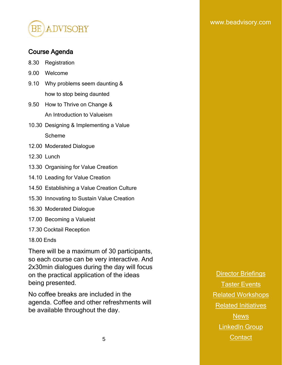

## Course Agenda

- 8.30 Registration
- 9.00 Welcome
- 9.10 Why problems seem daunting & how to stop being daunted
- 9.50 How to Thrive on Change & An Introduction to Valueism
- 10.30 Designing & Implementing a Value Scheme
- 12.00 Moderated Dialogue
- 12.30 Lunch
- 13.30 Organising for Value Creation
- 14.10 Leading for Value Creation
- 14.50 Establishing a Value Creation Culture
- 15.30 Innovating to Sustain Value Creation
- 16.30 Moderated Dialogue
- 17.00 Becoming a Valueist
- 17.30 Cocktail Reception

#### 18.00 Ends

There will be a maximum of 30 participants, so each course can be very interactive. And 2x30min dialogues during the day will focus on the practical application of the ideas being presented.

No coffee breaks are included in the agenda. Coffee and other refreshments will be available throughout the day.

[Director Briefings](https://www.beadvisory.com/post/undaunted-director-briefings) [Taster Events](https://www.beadvisory.com/news/categories/undaunted-taster-events) [Related Workshops](https://www.beadvisory.com/post/undaunted-workshops) [Related Initiatives](https://www.beadvisory.com/post/undaunted-course-related-initiatives) [News](https://www.beadvisory.com/news/categories/undaunted-news) [LinkedIn Group](https://www.linkedin.com/groups/8638719/) 5 [Contact](mailto:contact@beadvisory.com) Contact Contact Contact Contact Contact Contact Contact Contact Contact Contact Contact Contact Contact Contact Contact Contact Contact Contact Contact Contact Contact Contact Contact Contact Contact Contact Cont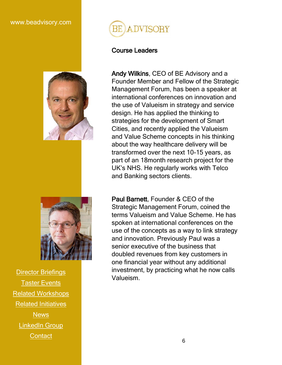



[Director Briefings](https://www.beadvisory.com/post/undaunted-director-briefings) **[Taster Events](https://www.beadvisory.com/news/categories/undaunted-taster-events)** [Related Workshops](https://www.beadvisory.com/post/undaunted-workshops) [Related Initiatives](https://www.beadvisory.com/post/undaunted-course-related-initiatives) **[News](https://www.beadvisory.com/news/categories/undaunted-news)** [LinkedIn Group](https://www.linkedin.com/groups/8638719/) **[Contact](mailto:contact@beadvisory.com)** 



## Course Leaders

Andy Wilkins, CEO of BE Advisory and a Founder Member and Fellow of the Strategic Management Forum, has been a speaker at international conferences on innovation and the use of Valueism in strategy and service design. He has applied the thinking to strategies for the development of Smart Cities, and recently applied the Valueism and Value Scheme concepts in his thinking about the way healthcare delivery will be transformed over the next 10-15 years, as part of an 18month research project for the UK's NHS. He regularly works with Telco and Banking sectors clients.

Paul Barnett, Founder & CEO of the Strategic Management Forum, coined the terms Valueism and Value Scheme. He has spoken at international conferences on the use of the concepts as a way to link strategy and innovation. Previously Paul was a senior executive of the business that doubled revenues from key customers in one financial year without any additional investment, by practicing what he now calls Valueism.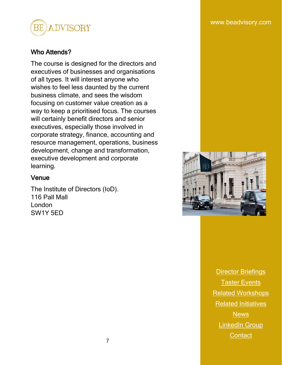

# Who Attends?

The course is designed for the directors and executives of businesses and organisations of all types. It will interest anyone who wishes to feel less daunted by the current business climate, and sees the wisdom focusing on customer value creation as a way to keep a prioritised focus. The courses will certainly benefit directors and senior executives, especially those involved in corporate strategy, finance, accounting and resource management, operations, business development, change and transformation, executive development and corporate learning.

#### Venue

The Institute of Directors (IoD). 116 Pall Mall London SW1Y 5ED

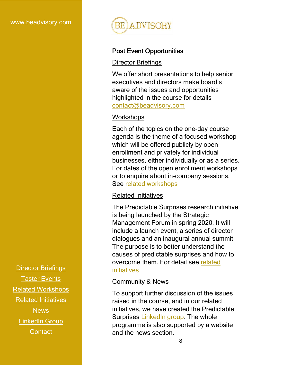

# Post Event Opportunities

#### Director Briefings

We offer short presentations to help senior executives and directors make board's aware of the issues and opportunities highlighted in the course for details [contact@beadvisory.com](mailto:contact@beadvisory.com)

# **Workshops**

Each of the topics on the one-day course agenda is the theme of a focused workshop which will be offered publicly by open enrollment and privately for individual businesses, either individually or as a series. For dates of the open enrollment workshops or to enquire about in-company sessions. See [related workshops](https://www.beadvisory.com/post/undaunted-workshops)

# Related Initiatives

The Predictable Surprises research initiative is being launched by the Strategic Management Forum in spring 2020. It will include a launch event, a series of director dialogues and an inaugural annual summit. The purpose is to better understand the causes of predictable surprises and how to overcome them. For detail see [related](https://www.beadvisory.com/post/undaunted-course-related-initiatives)  [initiatives](https://www.beadvisory.com/post/undaunted-course-related-initiatives)

# Community & News

To support further discussion of the issues raised in the course, and in our related initiatives, we have created the Predictable Surprises [LinkedIn group.](https://www.linkedin.com/groups/8638719/) The whole programme is also supported by a website and the news section.  $\mathbf{m}$ www.com